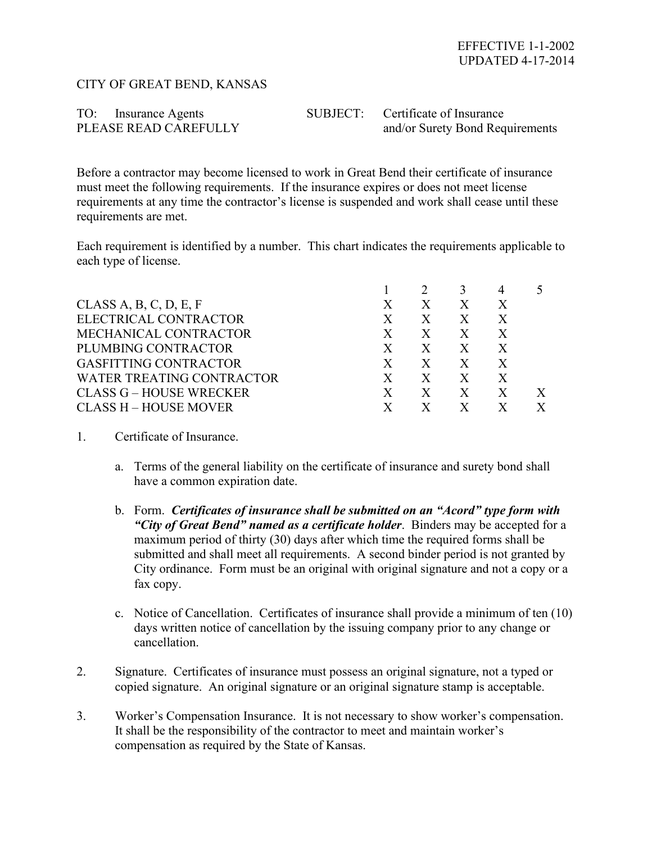## CITY OF GREAT BEND, KANSAS

| TO: Insurance Agents  | SUBJECT: Certificate of Insurance |
|-----------------------|-----------------------------------|
| PLEASE READ CAREFULLY | and/or Surety Bond Requirements   |

Before a contractor may become licensed to work in Great Bend their certificate of insurance must meet the following requirements. If the insurance expires or does not meet license requirements at any time the contractor's license is suspended and work shall cease until these requirements are met.

Each requirement is identified by a number. This chart indicates the requirements applicable to each type of license.

| CLASS A, B, C, D, E, F           | Χ  | X            | X            | X |  |
|----------------------------------|----|--------------|--------------|---|--|
| ELECTRICAL CONTRACTOR            | X  | X            | X            | X |  |
| MECHANICAL CONTRACTOR            | X  | X            | X            | X |  |
| PLUMBING CONTRACTOR              | X  | X            | X            | X |  |
| <b>GASFITTING CONTRACTOR</b>     | X  | $\mathbf{X}$ | $\mathbf{X}$ | X |  |
| <b>WATER TREATING CONTRACTOR</b> | X  | X            | $\mathbf{X}$ | X |  |
| <b>CLASS G – HOUSE WRECKER</b>   | X. | X            | X            |   |  |
| <b>CLASS H - HOUSE MOVER</b>     |    |              |              |   |  |

- 1. Certificate of Insurance.
	- a. Terms of the general liability on the certificate of insurance and surety bond shall have a common expiration date.
	- b. Form. *Certificates of insurance shall be submitted on an "Acord" type form with "City of Great Bend" named as a certificate holder*. Binders may be accepted for a maximum period of thirty (30) days after which time the required forms shall be submitted and shall meet all requirements. A second binder period is not granted by City ordinance. Form must be an original with original signature and not a copy or a fax copy.
	- c. Notice of Cancellation. Certificates of insurance shall provide a minimum of ten (10) days written notice of cancellation by the issuing company prior to any change or cancellation.
- 2. Signature. Certificates of insurance must possess an original signature, not a typed or copied signature. An original signature or an original signature stamp is acceptable.
- 3. Worker's Compensation Insurance. It is not necessary to show worker's compensation. It shall be the responsibility of the contractor to meet and maintain worker's compensation as required by the State of Kansas.